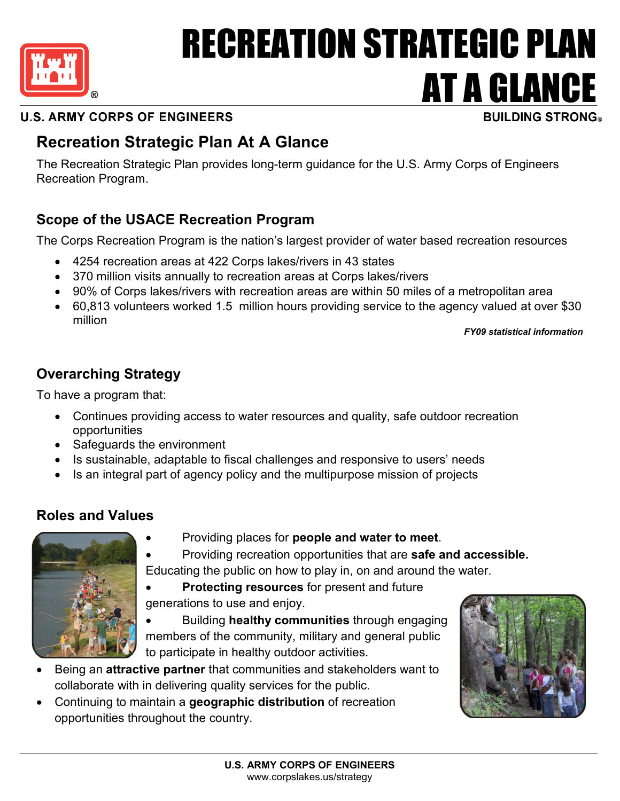

# RECREATION STRATEGIC PLAN **AT A GLANCE**

# **U.S. ARMY CORPS OF ENGINEERS**

# **Recreation Strategic Plan At A Glance**

The Recreation Strategic Plan provides long-term guidance for the U.S. Army Corps of Engineers Recreation Program.

# **Scope of the USACE Recreation Program**

The Corps Recreation Program is the nation's largest provider of water based recreation resources

- 4254 recreation areas at 422 Corps lakes/rivers in 43 states
- 370 million visits annually to recreation areas at Corps lakes/rivers
- 90% of Corps lakes/rivers with recreation areas are within 50 miles of a metropolitan area
- 60,813 volunteers worked 1.5 million hours providing service to the agency valued at over \$30 million

*FY09 statistical information*

# **Overarching Strategy**

To have a program that:

- Continues providing access to water resources and quality, safe outdoor recreation opportunities
- Safeguards the environment
- Is sustainable, adaptable to fiscal challenges and responsive to users' needs
- Is an integral part of agency policy and the multipurpose mission of projects

# **Roles and Values**



- Providing places for **people and water to meet**.
- Providing recreation opportunities that are **safe and accessible.** Educating the public on how to play in, on and around the water.
- **Protecting resources** for present and future generations to use and enjoy.
- Building **healthy communities** through engaging members of the community, military and general public to participate in healthy outdoor activities.
- Being an **attractive partner** that communities and stakeholders want to collaborate with in delivering quality services for the public.
- Continuing to maintain a **geographic distribution** of recreation opportunities throughout the country.